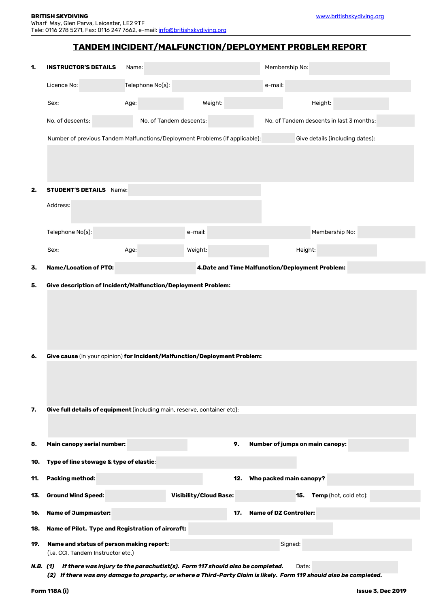## **TANDEM INCIDENT/MALFUNCTION/DEPLOYMENT PROBLEM REPORT**

| 1.       | <b>INSTRUCTOR'S DETAILS</b><br>Name:                                                                                                                                                                             |                         |                                                  |                               | Membership No:                           |  |  |
|----------|------------------------------------------------------------------------------------------------------------------------------------------------------------------------------------------------------------------|-------------------------|--------------------------------------------------|-------------------------------|------------------------------------------|--|--|
|          | Licence No:                                                                                                                                                                                                      | Telephone No(s):        |                                                  | e-mail:                       |                                          |  |  |
|          | Sex:                                                                                                                                                                                                             | Age:                    | Weight:                                          |                               | Height:                                  |  |  |
|          | No. of descents:                                                                                                                                                                                                 | No. of Tandem descents: |                                                  |                               | No. of Tandem descents in last 3 months: |  |  |
|          | Number of previous Tandem Malfunctions/Deployment Problems (if applicable):<br>Give details (including dates):                                                                                                   |                         |                                                  |                               |                                          |  |  |
|          |                                                                                                                                                                                                                  |                         |                                                  |                               |                                          |  |  |
|          |                                                                                                                                                                                                                  |                         |                                                  |                               |                                          |  |  |
| 2.       | <b>STUDENT'S DETAILS</b> Name:                                                                                                                                                                                   |                         |                                                  |                               |                                          |  |  |
|          | Address:                                                                                                                                                                                                         |                         |                                                  |                               |                                          |  |  |
|          | Telephone No(s):                                                                                                                                                                                                 |                         | e-mail:                                          |                               | Membership No:                           |  |  |
|          | Sex:                                                                                                                                                                                                             | Age:                    | Weight:                                          |                               | Height:                                  |  |  |
| 3.       | <b>Name/Location of PTO:</b>                                                                                                                                                                                     |                         | 4. Date and Time Malfunction/Deployment Problem: |                               |                                          |  |  |
| 5.       | Give description of Incident/Malfunction/Deployment Problem:                                                                                                                                                     |                         |                                                  |                               |                                          |  |  |
|          |                                                                                                                                                                                                                  |                         |                                                  |                               |                                          |  |  |
|          |                                                                                                                                                                                                                  |                         |                                                  |                               |                                          |  |  |
|          |                                                                                                                                                                                                                  |                         |                                                  |                               |                                          |  |  |
| 6.       | Give cause (in your opinion) for Incident/Malfunction/Deployment Problem:                                                                                                                                        |                         |                                                  |                               |                                          |  |  |
|          |                                                                                                                                                                                                                  |                         |                                                  |                               |                                          |  |  |
|          |                                                                                                                                                                                                                  |                         |                                                  |                               |                                          |  |  |
| 7.       |                                                                                                                                                                                                                  |                         |                                                  |                               |                                          |  |  |
|          | Give full details of equipment (including main, reserve, container etc):                                                                                                                                         |                         |                                                  |                               |                                          |  |  |
|          |                                                                                                                                                                                                                  |                         |                                                  |                               |                                          |  |  |
| 8.       | Main canopy serial number:                                                                                                                                                                                       |                         | 9.                                               |                               | <b>Number of jumps on main canopy:</b>   |  |  |
| 10.      | Type of line stowage & type of elastic:                                                                                                                                                                          |                         |                                                  |                               |                                          |  |  |
| 11.      | <b>Packing method:</b>                                                                                                                                                                                           |                         | 12.                                              | Who packed main canopy?       |                                          |  |  |
| 13.      | <b>Ground Wind Speed:</b>                                                                                                                                                                                        |                         | <b>Visibility/Cloud Base:</b>                    |                               | Temp (hot, cold etc):<br>15.             |  |  |
| 16.      | <b>Name of Jumpmaster:</b>                                                                                                                                                                                       |                         | 17.                                              | <b>Name of DZ Controller:</b> |                                          |  |  |
| 18.      | Name of Pilot. Type and Registration of aircraft:                                                                                                                                                                |                         |                                                  |                               |                                          |  |  |
| 19.      | Signed:<br>Name and status of person making report:<br>(i.e. CCI, Tandem Instructor etc.)                                                                                                                        |                         |                                                  |                               |                                          |  |  |
| N.B. (1) | If there was injury to the parachutist(s). Form 117 should also be completed.<br>Date:<br>If there was any damage to property, or where a Third-Party Claim is likely. Form 119 should also be completed.<br>(2) |                         |                                                  |                               |                                          |  |  |

٦